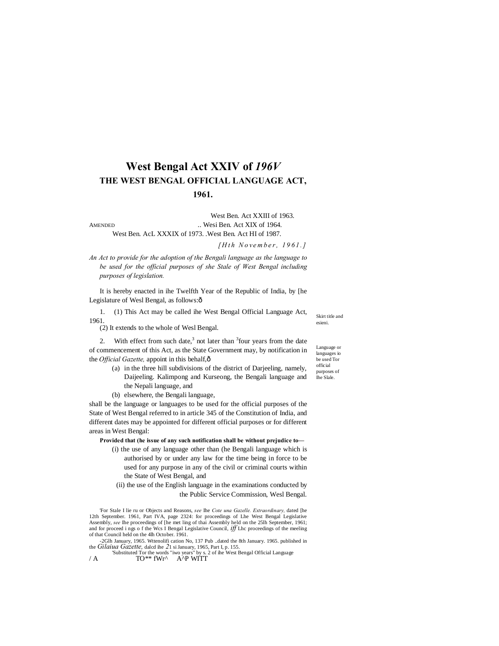# **West Bengal Act XXIV of** *196V* **THE WEST BENGAL OFFICIAL LANGUAGE ACT, 1961.**

West Ben. Act XXIII of 1963. AMENDED ... Wesi Ben. Act XIX of 1964. West Ben. AcL XXXIX of 1973. .West Ben. Act HI of 1987.

*[ H t h N o ve m b e r , 1 9 6 1 . ]*

*An Act to provide for the adoption of the Bengali language as the language to be used for the official purposes of she Stale of West Bengal including purposes of legislation.*

It is hereby enacted in ihe Twelfth Year of the Republic of India, by [he Legislature of Wesl Bengal, as follows:ô

1. (1) This Act may be called ihe West Bengal Official Language Act, 1961.

(2) It extends to the whole of Wesl Bengal.

2. With effect from such date,<sup>3</sup> not later than  $3$  four years from the date of commencement of this Act, as the State Government may, by notification in the *Official Gazette*, appoint in this behalf, $\hat{o}$ 

- (a) in the three hill subdivisions of the district of Darjeeling, namely, Daijeeling. Kalimpong and Kurseong, the Bengali language and the Nepali language, and
- (b) elsewhere, the Bengali language,

shall be the language or languages to be used for the official purposes of the State of West Bengal referred to in article 345 of the Constitution of India, and different dates may be appointed for different official purposes or for different areas in West Bengal:

**Provided that (he issue of any such notification shall be without prejudice to—**

(i) the use of any language other than (he Bengali language which is authorised by or under any law for the time being in force to be used for any purpose in any of the civil or criminal courts within the State of West Bengal, and

(ii) the use of the English language in the examinations conducted by the Public Service Commission, Wesl Bengal.

'For Stale I lie ru or Objects and Reasons, *see* Ihe *Cote una Gazelle. Extraordinary,* dated [he 12th September. 1961, Part IVA, page 2324: for proceedings of Lhe West Bengal Legislative Assembly, *see* Ihe proceedings of [he met ling of thai Assembly held on the 25lh September, 1961; and for proceed i ngs o f the Wcs I Bengal Legislative Council, *iff* Lhc proceedings of the meeling of that Council held on the 4lh October. 1961.

-2Glh January, 1965. Wttenolifi cation No, 137 Pub ..dated the 8th January. 1965. published in

the *Gilaiua Gazette*, dalcd ihe 21 si January, 1965, Part I, p. 155.<br>
'Substituted Tor the words "iwo years" by s. 2 of ihe West Bengal Official Language<br>
/ A TO\*\* fWr^ A^P WITT

Language or languages io be used Tor official purposes of Ihe Slale.

Skirt title and esieni.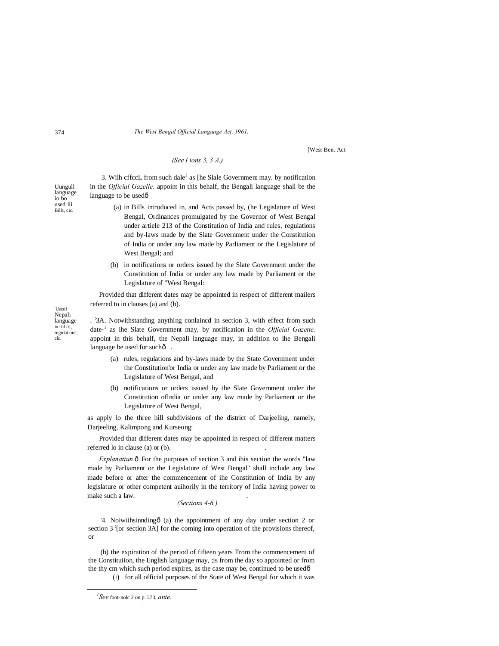#### 374 *The West Bengal Official Language Act, 1961.*

[West Ben. Act

## *(See I ions 3, 3 A.)*

Uungull language io bo used iii 3. Wilh cffccL from such dale<sup>1</sup> as [he Slale Government may. by notification in the *Official Gazelle,* appoint in this behalf, the Bengali language shall be the language to be usedô

- (a) in Bills introduced in, and Acts passed by, (he Legislature of West Bengal, Ordinances promulgated by the Governor of West Bengal under artiele 213 of the Constitution of India and rules, regulations and by-laws made by the Slate Government under the Constitution of India or under any law made by Parliament or the Legislature of West Bengal; and
- (b) in notifications or orders issued by the Slate Government under the Constitution of India or under any law made by Parliament or the Legislature of "West Bengal:

Provided that different dates may be appointed in respect of different mailers referred to in clauses (a) and (b).

; Uscof Nepali language in rnUis, regulations, clc.

. '3A. Notwithstanding anything conlained in section 3, with effect from such date-<sup>1</sup> as ihe Slate Government may, by notification in the *Official Gazette,* appoint in this behalf, the Nepali language may, in addition to ihe Bengali language be used for sucho .

- (a) rules, regulations and by-laws made by the State Government under the Constitution'or India or under any law made by Parliament or the Legislature of West Bengal, and
- (b) notifications or orders issued by the Slate Government under the Constitution oflndia or under any law made by Parliament or the Legislature of West Bengal,

as apply lo the three hill subdivisions of the district of Darjeeling, namely, Darjeeling, Kalimpong and Kurseong:

Provided that different dates may be appointed in respect of different matters referred lo in clause (a) or (b).

*Explanatiun.* $\delta$  For the purposes of section 3 and ihis section the words "law made by Parliament or the Legislature of West Bengal" shall include any law made before or after the commencement of ihe Constitution of India by any legislature or other competent auihorily in the territory of India having power to make such a law. .

### *(Sections 4-6.)*

'4. Noiwiihsinndingô (a) the appointment of any day under section 2 or section 3 [or section 3A] for the coming into operation of the provisions thereof, or

(b) the expiration of the period of fifteen years Trom the commencement of the Constituiion, the English language may, ;is from the day so appointed or from the thy cm which such period expires, as the case may be, continued to be used $\hat{o}$ 

(i) for all official purposes of the State of West Bengal for which it was

Bills, cic.

*1 See* foot-nolc 2 on p. 373, *ante.*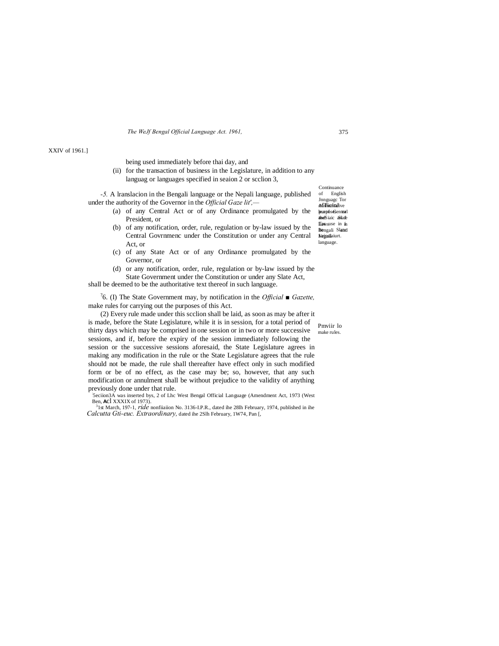*The WeJf Bengal Official Language Act. 1961,* 375

#### XXIV of 1961.]

being used immediately before thai day, and

(ii) for the transaction of business in the Legislature, in addition to any languag or languages specified in seaion 2 or scclion 3,

*-5.* A lranslacion in the Bengali language or the Nepali language, published under the authority of the Governor in the *Official Gaze lit',—*

- (a) of any Central Act or of any Ordinance promulgated by the President, or
- (b) of any notification, order, rule, regulation or by-law issued by the Central Govrnmenc under the Constitution or under any Central Act, or
- (c) of any State Act or of any Ordinance promulgated by the Governor, or
- (d) or any notification, order, rule, regulation or by-law issued by the State Government under the Constitution or under any Slate Act,

shall be deemed to be the authoritative text thereof in such language.

? 6. (I) The State Government may, by notification in the *Official ■ Gazette,* make rules for carrying out the purposes of this Act.

Pmviir lo make rules. (2) Every rule made under this scclion shall be laid, as soon as may be after it is made, before the State Legislature, while it is in session, for a total period of thirty days which may be comprised in one session or in two or more successive sessions, and if, before the expiry of the session immediately following the session or the successive sessions aforesaid, the State Legislature agrees in making any modification in the rule or the State Legislature agrees that the rule should not be made, the rule shall thereafter have effect only in such modified form or be of no effect, as the case may be; so, however, that any such modification or annulment shall be without prejudice to the validity of anything previously done under that rule.

5eciion3A was inserted bys, 2 of Lhc West Bengal Official Language (Amendment Act, 1973 (West Ben, **AC**l XXXIX of 1973).<br><sup>3</sup>1st March, 197-1, *ride* nonfiiaiion No. 3136-I.P.R., dated ihe 28lh February, 1974, published in ihe

*Calcutta Gti-euc. Extraordinary,* dated ihe 2Slh February, 1W74, Pan [,

Jnnguagc Tor<br>**AfflicinJ**ive heurp6s@entoal and Siaic a State Llawsuse in in Bengali Slated Nejpslaiurt. language. Continuance of English